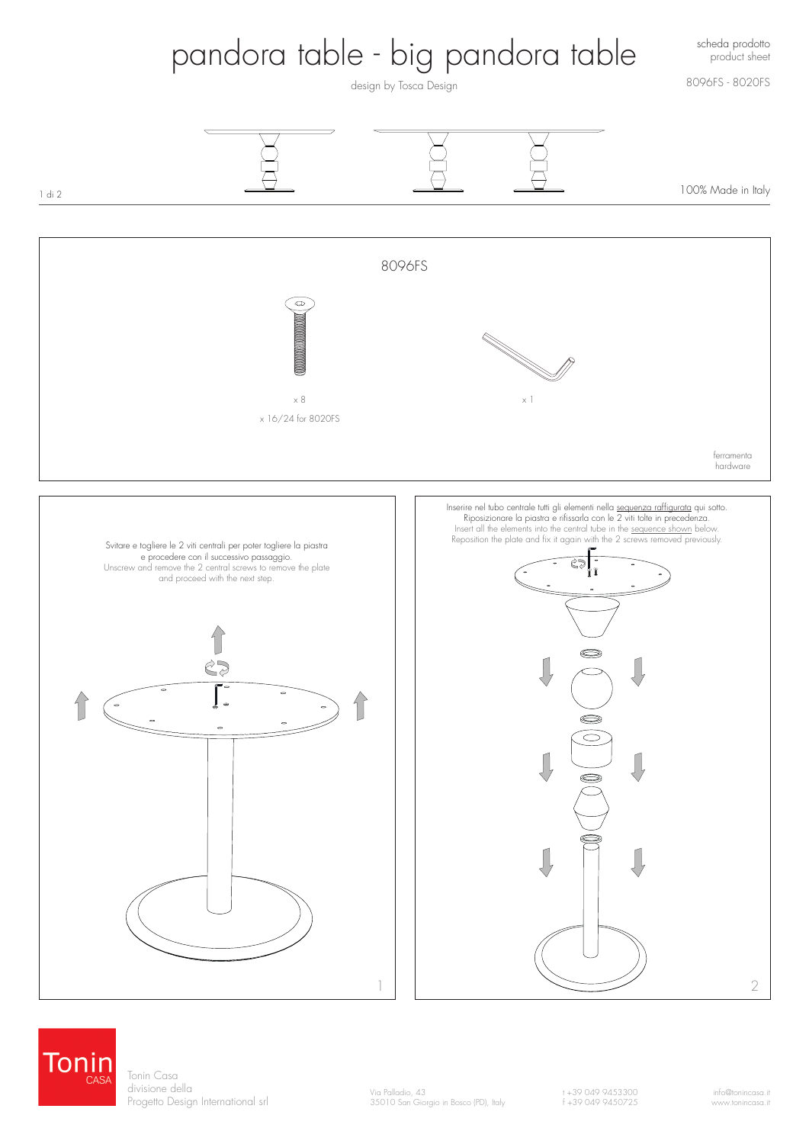

Tonin Tonin Casa divisione della Progetto Design International srl